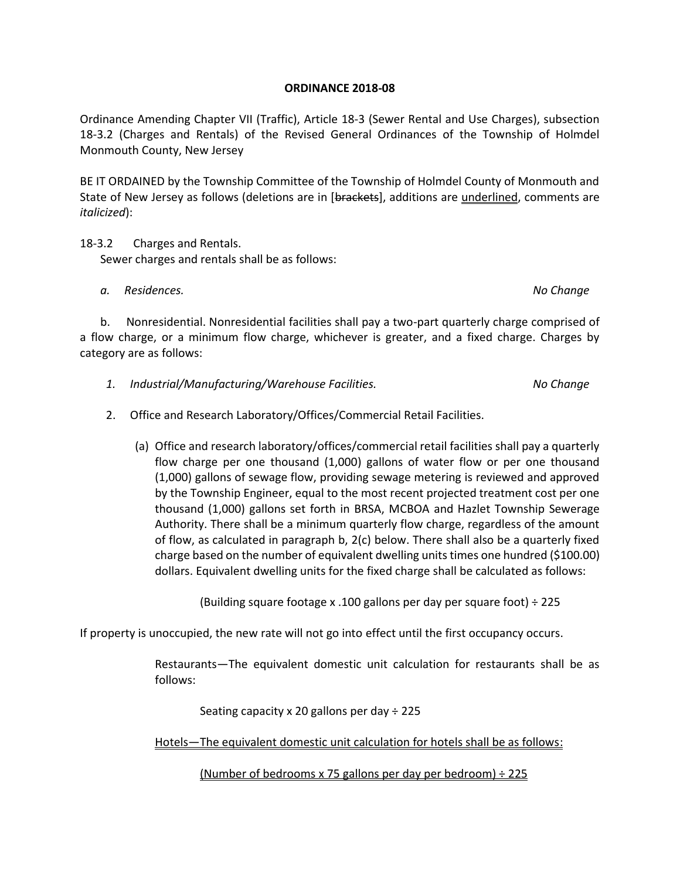## **ORDINANCE 2018-08**

Ordinance Amending Chapter VII (Traffic), Article 18-3 (Sewer Rental and Use Charges), subsection 18-3.2 (Charges and Rentals) of the Revised General Ordinances of the Township of Holmdel Monmouth County, New Jersey

BE IT ORDAINED by the Township Committee of the Township of Holmdel County of Monmouth and State of New Jersey as follows (deletions are in [brackets], additions are underlined, comments are *italicized*):

18-3.2 Charges and Rentals. Sewer charges and rentals shall be as follows:

 *a. Residences. No Change*

 b. Nonresidential. Nonresidential facilities shall pay a two-part quarterly charge comprised of a flow charge, or a minimum flow charge, whichever is greater, and a fixed charge. Charges by category are as follows:

- *1. Industrial/Manufacturing/Warehouse Facilities. No Change*
- 2. Office and Research Laboratory/Offices/Commercial Retail Facilities.
	- (a) Office and research laboratory/offices/commercial retail facilities shall pay a quarterly flow charge per one thousand (1,000) gallons of water flow or per one thousand (1,000) gallons of sewage flow, providing sewage metering is reviewed and approved by the Township Engineer, equal to the most recent projected treatment cost per one thousand (1,000) gallons set forth in BRSA, MCBOA and Hazlet Township Sewerage Authority. There shall be a minimum quarterly flow charge, regardless of the amount of flow, as calculated in paragraph b, 2(c) below. There shall also be a quarterly fixed charge based on the number of equivalent dwelling units times one hundred (\$100.00) dollars. Equivalent dwelling units for the fixed charge shall be calculated as follows:

(Building square footage x .100 gallons per day per square foot) ÷ 225

If property is unoccupied, the new rate will not go into effect until the first occupancy occurs.

Restaurants—The equivalent domestic unit calculation for restaurants shall be as follows:

Seating capacity x 20 gallons per day  $\div$  225

Hotels—The equivalent domestic unit calculation for hotels shall be as follows:

(Number of bedrooms x 75 gallons per day per bedroom)  $\div$  225